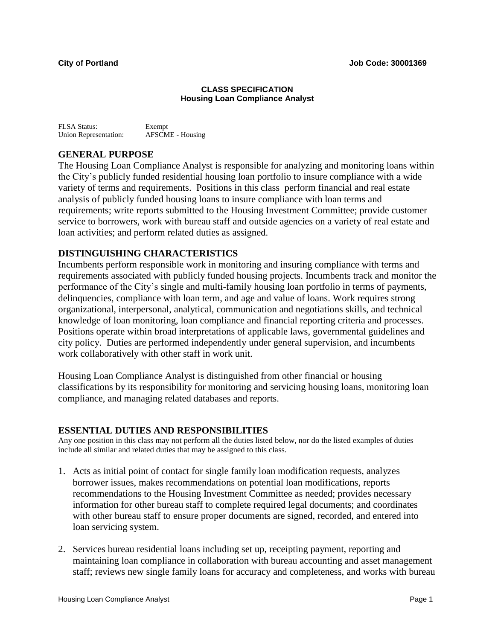#### **CLASS SPECIFICATION Housing Loan Compliance Analyst**

| FLSA Status:                 | Exempt                  |
|------------------------------|-------------------------|
| <b>Union Representation:</b> | <b>AFSCME</b> - Housing |

# **GENERAL PURPOSE**

The Housing Loan Compliance Analyst is responsible for analyzing and monitoring loans within the City's publicly funded residential housing loan portfolio to insure compliance with a wide variety of terms and requirements. Positions in this class perform financial and real estate analysis of publicly funded housing loans to insure compliance with loan terms and requirements; write reports submitted to the Housing Investment Committee; provide customer service to borrowers, work with bureau staff and outside agencies on a variety of real estate and loan activities; and perform related duties as assigned.

### **DISTINGUISHING CHARACTERISTICS**

Incumbents perform responsible work in monitoring and insuring compliance with terms and requirements associated with publicly funded housing projects. Incumbents track and monitor the performance of the City's single and multi-family housing loan portfolio in terms of payments, delinquencies, compliance with loan term, and age and value of loans. Work requires strong organizational, interpersonal, analytical, communication and negotiations skills, and technical knowledge of loan monitoring, loan compliance and financial reporting criteria and processes. Positions operate within broad interpretations of applicable laws, governmental guidelines and city policy. Duties are performed independently under general supervision, and incumbents work collaboratively with other staff in work unit.

Housing Loan Compliance Analyst is distinguished from other financial or housing classifications by its responsibility for monitoring and servicing housing loans, monitoring loan compliance, and managing related databases and reports.

#### **ESSENTIAL DUTIES AND RESPONSIBILITIES**

Any one position in this class may not perform all the duties listed below, nor do the listed examples of duties include all similar and related duties that may be assigned to this class.

- 1. Acts as initial point of contact for single family loan modification requests, analyzes borrower issues, makes recommendations on potential loan modifications, reports recommendations to the Housing Investment Committee as needed; provides necessary information for other bureau staff to complete required legal documents; and coordinates with other bureau staff to ensure proper documents are signed, recorded, and entered into loan servicing system.
- 2. Services bureau residential loans including set up, receipting payment, reporting and maintaining loan compliance in collaboration with bureau accounting and asset management staff; reviews new single family loans for accuracy and completeness, and works with bureau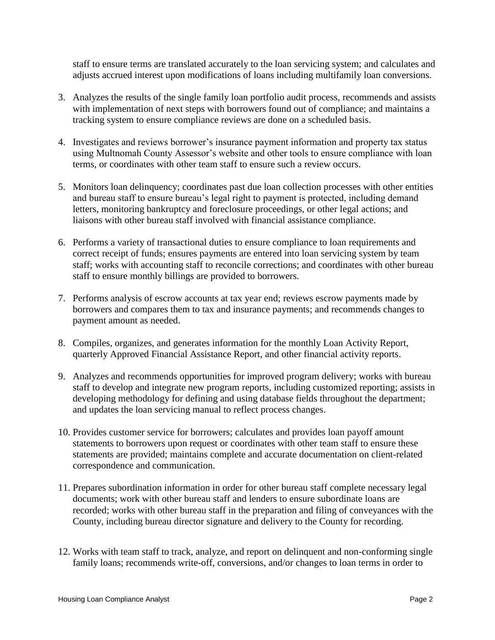staff to ensure terms are translated accurately to the loan servicing system; and calculates and adjusts accrued interest upon modifications of loans including multifamily loan conversions.

- 3. Analyzes the results of the single family loan portfolio audit process, recommends and assists with implementation of next steps with borrowers found out of compliance; and maintains a tracking system to ensure compliance reviews are done on a scheduled basis.
- 4. Investigates and reviews borrower's insurance payment information and property tax status using Multnomah County Assessor's website and other tools to ensure compliance with loan terms, or coordinates with other team staff to ensure such a review occurs.
- 5. Monitors loan delinquency; coordinates past due loan collection processes with other entities and bureau staff to ensure bureau's legal right to payment is protected, including demand letters, monitoring bankruptcy and foreclosure proceedings, or other legal actions; and liaisons with other bureau staff involved with financial assistance compliance.
- 6. Performs a variety of transactional duties to ensure compliance to loan requirements and correct receipt of funds; ensures payments are entered into loan servicing system by team staff; works with accounting staff to reconcile corrections; and coordinates with other bureau staff to ensure monthly billings are provided to borrowers.
- 7. Performs analysis of escrow accounts at tax year end; reviews escrow payments made by borrowers and compares them to tax and insurance payments; and recommends changes to payment amount as needed.
- 8. Compiles, organizes, and generates information for the monthly Loan Activity Report, quarterly Approved Financial Assistance Report, and other financial activity reports.
- 9. Analyzes and recommends opportunities for improved program delivery; works with bureau staff to develop and integrate new program reports, including customized reporting; assists in developing methodology for defining and using database fields throughout the department; and updates the loan servicing manual to reflect process changes.
- 10. Provides customer service for borrowers; calculates and provides loan payoff amount statements to borrowers upon request or coordinates with other team staff to ensure these statements are provided; maintains complete and accurate documentation on client-related correspondence and communication.
- 11. Prepares subordination information in order for other bureau staff complete necessary legal documents; work with other bureau staff and lenders to ensure subordinate loans are recorded; works with other bureau staff in the preparation and filing of conveyances with the County, including bureau director signature and delivery to the County for recording.
- 12. Works with team staff to track, analyze, and report on delinquent and non-conforming single family loans; recommends write-off, conversions, and/or changes to loan terms in order to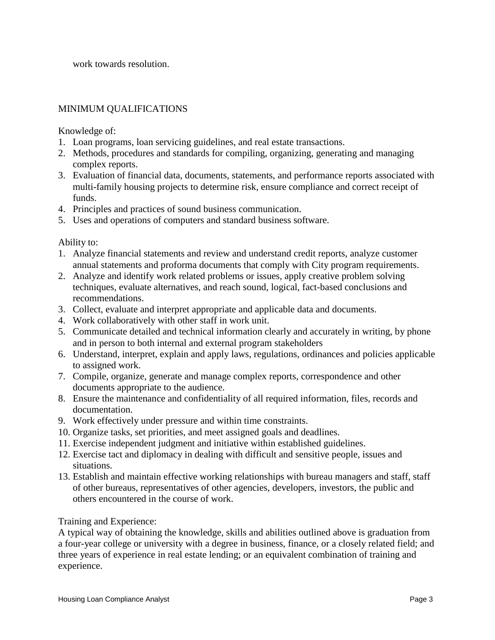work towards resolution.

## MINIMUM QUALIFICATIONS

Knowledge of:

- 1. Loan programs, loan servicing guidelines, and real estate transactions.
- 2. Methods, procedures and standards for compiling, organizing, generating and managing complex reports.
- 3. Evaluation of financial data, documents, statements, and performance reports associated with multi-family housing projects to determine risk, ensure compliance and correct receipt of funds.
- 4. Principles and practices of sound business communication.
- 5. Uses and operations of computers and standard business software.

Ability to:

- 1. Analyze financial statements and review and understand credit reports, analyze customer annual statements and proforma documents that comply with City program requirements.
- 2. Analyze and identify work related problems or issues, apply creative problem solving techniques, evaluate alternatives, and reach sound, logical, fact-based conclusions and recommendations.
- 3. Collect, evaluate and interpret appropriate and applicable data and documents.
- 4. Work collaboratively with other staff in work unit.
- 5. Communicate detailed and technical information clearly and accurately in writing, by phone and in person to both internal and external program stakeholders
- 6. Understand, interpret, explain and apply laws, regulations, ordinances and policies applicable to assigned work.
- 7. Compile, organize, generate and manage complex reports, correspondence and other documents appropriate to the audience.
- 8. Ensure the maintenance and confidentiality of all required information, files, records and documentation.
- 9. Work effectively under pressure and within time constraints.
- 10. Organize tasks, set priorities, and meet assigned goals and deadlines.
- 11. Exercise independent judgment and initiative within established guidelines.
- 12. Exercise tact and diplomacy in dealing with difficult and sensitive people, issues and situations.
- 13. Establish and maintain effective working relationships with bureau managers and staff, staff of other bureaus, representatives of other agencies, developers, investors, the public and others encountered in the course of work.

#### Training and Experience:

A typical way of obtaining the knowledge, skills and abilities outlined above is graduation from a four-year college or university with a degree in business, finance, or a closely related field; and three years of experience in real estate lending; or an equivalent combination of training and experience.